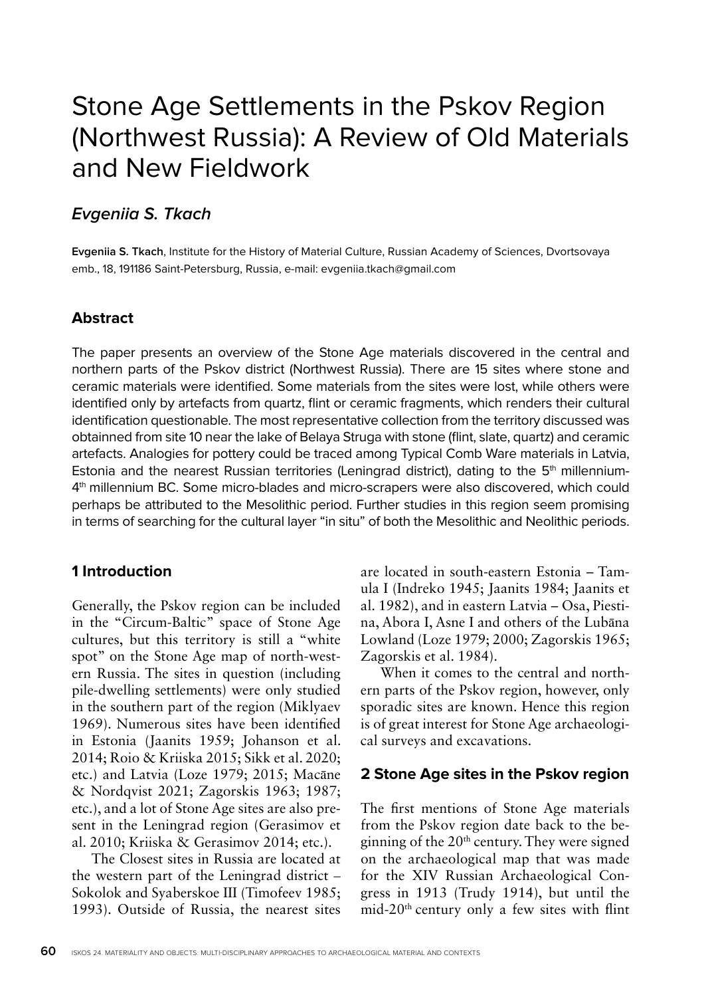# Stone Age Settlements in the Pskov Region (Northwest Russia): A Review of Old Materials and New Fieldwork

# **Evgeniia S. Tkach**

**Evgeniia S. Tkach**, Institute for the History of Material Culture, Russian Academy of Sciences, Dvortsovaya emb., 18, 191186 Saint-Petersburg, Russia, e-mail: evgeniia.tkach@gmail.com

# **Abstract**

The paper presents an overview of the Stone Age materials discovered in the central and northern parts of the Pskov district (Northwest Russia). There are 15 sites where stone and ceramic materials were identified. Some materials from the sites were lost, while others were identified only by artefacts from quartz, flint or ceramic fragments, which renders their cultural identification questionable. The most representative collection from the territory discussed was obtainned from site 10 near the lake of Belaya Struga with stone (flint, slate, quartz) and ceramic artefacts. Analogies for pottery could be traced among Typical Comb Ware materials in Latvia, Estonia and the nearest Russian territories (Leningrad district), dating to the  $5<sup>th</sup>$  millennium-4th millennium BC. Some micro-blades and micro-scrapers were also discovered, which could perhaps be attributed to the Mesolithic period. Further studies in this region seem promising in terms of searching for the cultural layer "in situ" of both the Mesolithic and Neolithic periods.

## **1 Introduction**

Generally, the Pskov region can be included in the "Circum-Baltic" space of Stone Age cultures, but this territory is still a "white spot" on the Stone Age map of north-western Russia. The sites in question (including pile-dwelling settlements) were only studied in the southern part of the region (Miklyaev 1969). Numerous sites have been identified in Estonia (Jaanits 1959; Johanson et al. 2014; Roio & Kriiska 2015; Sikk et al. 2020; etc.) and Latvia (Loze 1979; 2015; Macāne & Nordqvist 2021; Zagorskis 1963; 1987; etc.), and a lot of Stone Age sites are also present in the Leningrad region (Gerasimov et al. 2010; Kriiska & Gerasimov 2014; etc.).

The Closest sites in Russia are located at the western part of the Leningrad district – Sokolok and Syaberskoe III (Timofeev 1985; 1993). Outside of Russia, the nearest sites

are located in south-eastern Estonia – Tamula I (Indreko 1945; Jaanits 1984; Jaanits et al. 1982), and in eastern Latvia – Osa, Piestina, Abora I, Asne I and others of the Lubāna Lowland (Loze 1979; 2000; Zagorskis 1965; Zagorskis et al. 1984).

When it comes to the central and northern parts of the Pskov region, however, only sporadic sites are known. Hence this region is of great interest for Stone Age archaeological surveys and excavations.

#### **2 Stone Age sites in the Pskov region**

The first mentions of Stone Age materials from the Pskov region date back to the beginning of the  $20<sup>th</sup>$  century. They were signed on the archaeological map that was made for the XIV Russian Archaeological Congress in 1913 (Trudy 1914), but until the mid-20th century only a few sites with flint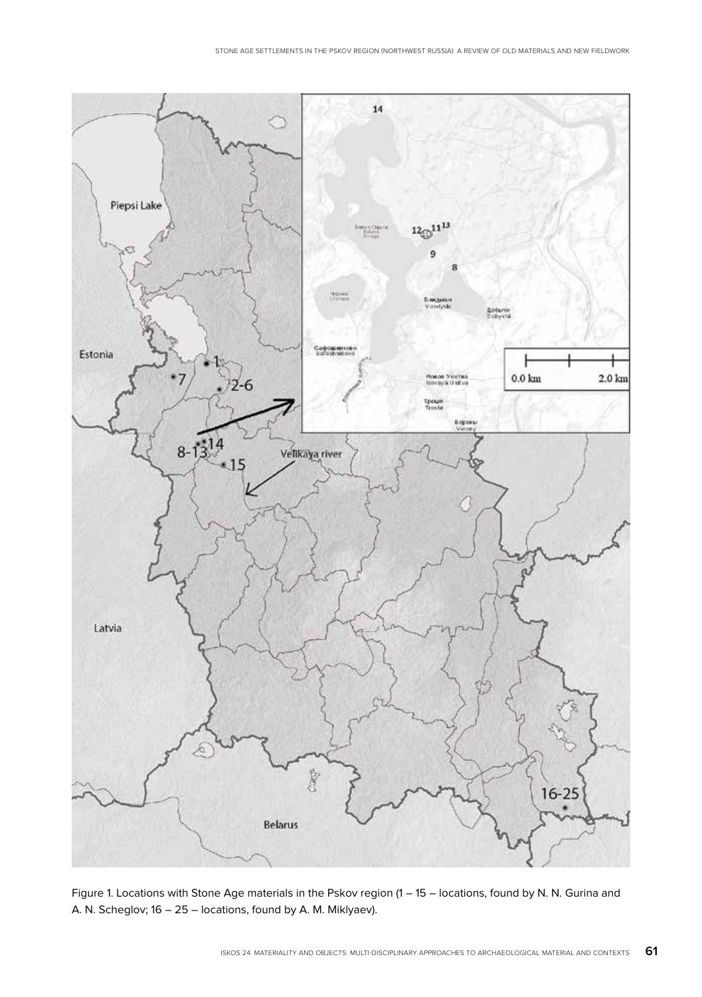

Figure 1. Locations with Stone Age materials in the Pskov region (1 – 15 – locations, found by N. N. Gurina and A. N. Scheglov; 16 – 25 – locations, found by A. M. Miklyaev).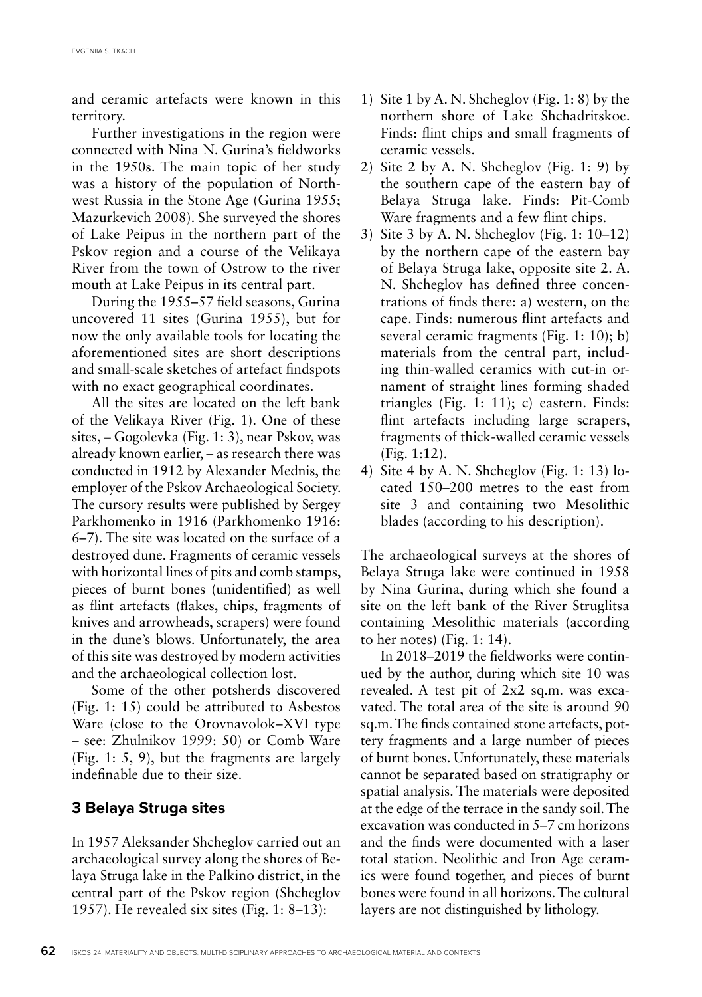and ceramic artefacts were known in this territory.

Further investigations in the region were connected with Nina N. Gurina's fieldworks in the 1950s. The main topic of her study was a history of the population of Northwest Russia in the Stone Age (Gurina 1955; Mazurkevich 2008). She surveyed the shores of Lake Peipus in the northern part of the Pskov region and a course of the Velikaya River from the town of Ostrow to the river mouth at Lake Peipus in its central part.

During the 1955–57 field seasons, Gurina uncovered 11 sites (Gurina 1955), but for now the only available tools for locating the aforementioned sites are short descriptions and small-scale sketches of artefact findspots with no exact geographical coordinates.

All the sites are located on the left bank of the Velikaya River (Fig. 1). One of these sites, – Gogolevka (Fig. 1: 3), near Pskov, was already known earlier, – as research there was conducted in 1912 by Alexander Mednis, the employer of the Pskov Archaeological Society. The cursory results were published by Sergey Parkhomenko in 1916 (Parkhomenko 1916: 6–7). The site was located on the surface of a destroyed dune. Fragments of ceramic vessels with horizontal lines of pits and comb stamps, pieces of burnt bones (unidentified) as well as flint artefacts (flakes, chips, fragments of knives and arrowheads, scrapers) were found in the dune's blows. Unfortunately, the area of this site was destroyed by modern activities and the archaeological collection lost.

Some of the other potsherds discovered (Fig. 1: 15) could be attributed to Asbestos Ware (close to the Orovnavolok–XVI type – see: Zhulnikov 1999: 50) or Comb Ware (Fig. 1: 5, 9), but the fragments are largely indefinable due to their size.

# **3 Belaya Struga sites**

In 1957 Aleksander Shcheglov carried out an archaeological survey along the shores of Belaya Struga lake in the Palkino district, in the central part of the Pskov region (Shcheglov 1957). He revealed six sites (Fig. 1: 8–13):

- 1) Site 1 by A. N. Shcheglov (Fig. 1: 8) by the northern shore of Lake Shchadritskoe. Finds: flint chips and small fragments of ceramic vessels.
- 2) Site 2 by A. N. Shcheglov (Fig. 1: 9) by the southern cape of the eastern bay of Belaya Struga lake. Finds: Pit-Comb Ware fragments and a few flint chips.
- 3) Site 3 by A. N. Shcheglov (Fig. 1: 10–12) by the northern cape of the eastern bay of Belaya Struga lake, opposite site 2. A. N. Shcheglov has defined three concentrations of finds there: a) western, on the cape. Finds: numerous flint artefacts and several ceramic fragments (Fig. 1: 10); b) materials from the central part, including thin-walled ceramics with cut-in ornament of straight lines forming shaded triangles (Fig. 1: 11); c) eastern. Finds: flint artefacts including large scrapers, fragments of thick-walled ceramic vessels (Fig. 1:12).
- 4) Site 4 by A. N. Shcheglov (Fig. 1: 13) located 150–200 metres to the east from site 3 and containing two Mesolithic blades (according to his description).

The archaeological surveys at the shores of Belaya Struga lake were continued in 1958 by Nina Gurina, during which she found a site on the left bank of the River Struglitsa containing Mesolithic materials (according to her notes) (Fig. 1: 14).

In 2018–2019 the fieldworks were continued by the author, during which site 10 was revealed. A test pit of 2x2 sq.m. was excavated. The total area of the site is around 90 sq.m. The finds contained stone artefacts, pottery fragments and a large number of pieces of burnt bones. Unfortunately, these materials cannot be separated based on stratigraphy or spatial analysis. The materials were deposited at the edge of the terrace in the sandy soil. The excavation was conducted in 5–7 cm horizons and the finds were documented with a laser total station. Neolithic and Iron Age ceramics were found together, and pieces of burnt bones were found in all horizons. The cultural layers are not distinguished by lithology.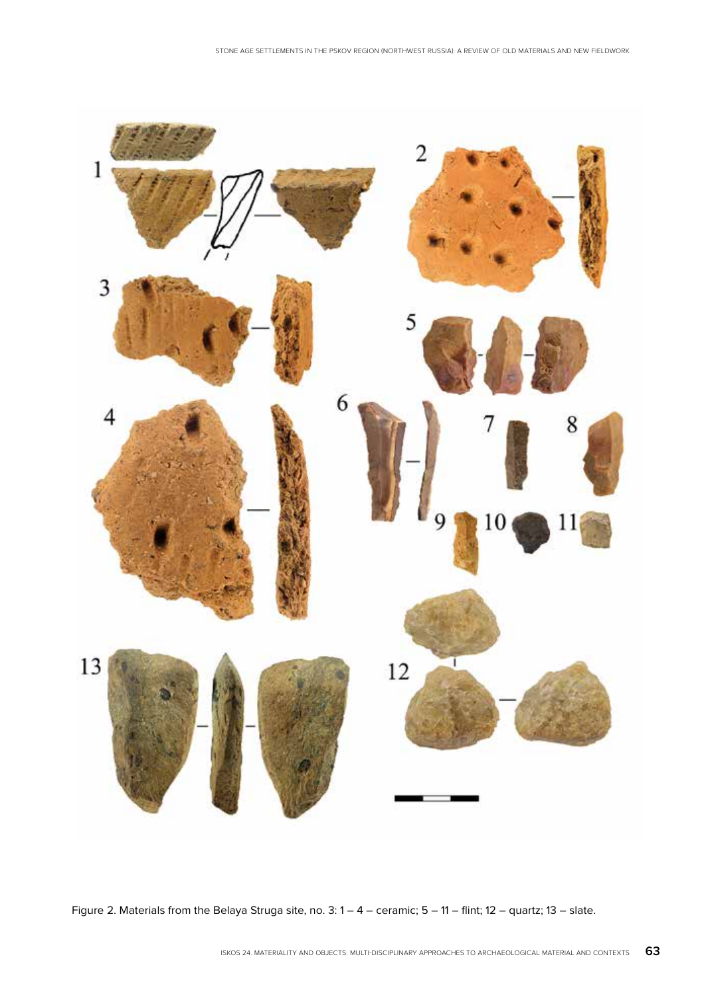

Figure 2. Materials from the Belaya Struga site, no. 3: 1 – 4 – ceramic; 5 – 11 – flint; 12 – quartz; 13 – slate.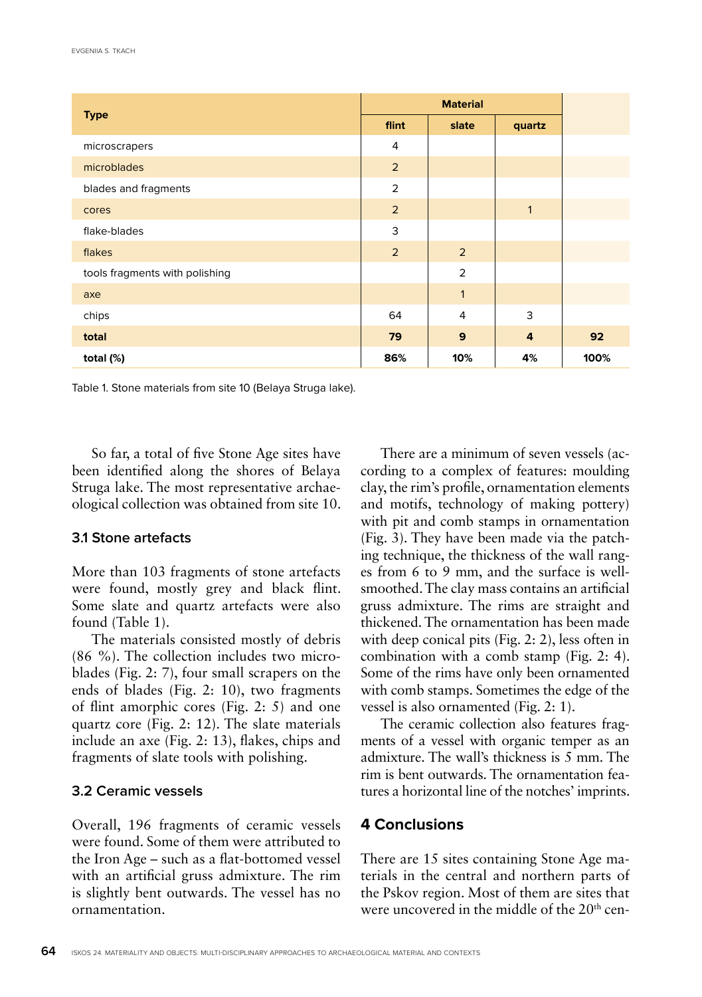|                                |                | <b>Material</b> |                |
|--------------------------------|----------------|-----------------|----------------|
| <b>Type</b>                    | flint          | slate           | quartz         |
| microscrapers                  | $\overline{4}$ |                 |                |
| microblades                    | $\overline{2}$ |                 |                |
| blades and fragments           | 2              |                 |                |
| cores                          | $\overline{2}$ |                 | $\mathbf{1}$   |
| flake-blades                   | 3              |                 |                |
| flakes                         | $\overline{2}$ | 2               |                |
| tools fragments with polishing |                | $\overline{2}$  |                |
| axe                            |                | $\mathbf{1}$    |                |
| chips                          | 64             | $\overline{4}$  | 3              |
| total                          | 79             | 9               | $\overline{4}$ |
| total (%)                      | 86%            | 10%             | 4%             |

Table 1. Stone materials from site 10 (Belaya Struga lake).

So far, a total of five Stone Age sites have been identified along the shores of Belaya Struga lake. The most representative archaeological collection was obtained from site 10.

#### **3.1 Stone artefacts**

More than 103 fragments of stone artefacts were found, mostly grey and black flint. Some slate and quartz artefacts were also found (Table 1).

The materials consisted mostly of debris (86 %). The collection includes two microblades (Fig. 2: 7), four small scrapers on the ends of blades (Fig. 2: 10), two fragments of flint amorphic cores (Fig. 2: 5) and one quartz core (Fig. 2: 12). The slate materials include an axe (Fig. 2: 13), flakes, chips and fragments of slate tools with polishing.

## **3.2 Ceramic vessels**

Overall, 196 fragments of ceramic vessels were found. Some of them were attributed to the Iron Age – such as a flat-bottomed vessel with an artificial gruss admixture. The rim is slightly bent outwards. The vessel has no ornamentation.

There are a minimum of seven vessels (according to a complex of features: moulding clay, the rim's profile, ornamentation elements and motifs, technology of making pottery) with pit and comb stamps in ornamentation (Fig. 3). They have been made via the patching technique, the thickness of the wall ranges from 6 to 9 mm, and the surface is wellsmoothed. The clay mass contains an artificial gruss admixture. The rims are straight and thickened. The ornamentation has been made with deep conical pits (Fig. 2: 2), less often in combination with a comb stamp (Fig. 2: 4). Some of the rims have only been ornamented with comb stamps. Sometimes the edge of the vessel is also ornamented (Fig. 2: 1).

The ceramic collection also features fragments of a vessel with organic temper as an admixture. The wall's thickness is 5 mm. The rim is bent outwards. The ornamentation features a horizontal line of the notches' imprints.

# **4 Conclusions**

There are 15 sites containing Stone Age materials in the central and northern parts of the Pskov region. Most of them are sites that were uncovered in the middle of the 20<sup>th</sup> cen-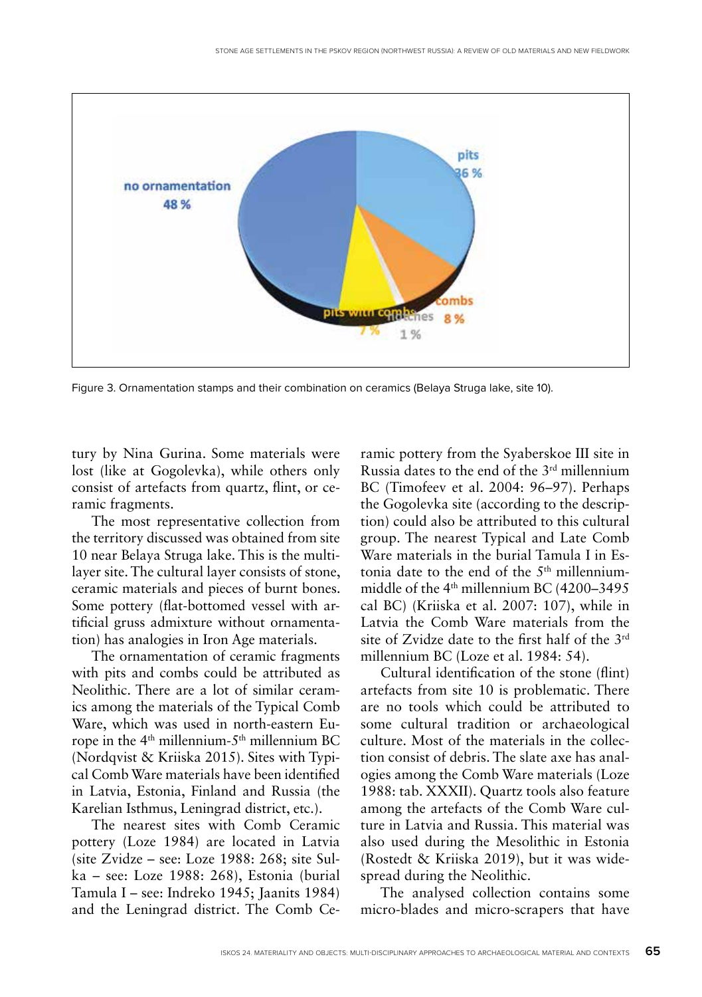

Figure 3. Ornamentation stamps and their combination on ceramics (Belaya Struga lake, site 10).

tury by Nina Gurina. Some materials were lost (like at Gogolevka), while others only consist of artefacts from quartz, flint, or ceramic fragments.

The most representative collection from the territory discussed was obtained from site 10 near Belaya Struga lake. This is the multilayer site. The cultural layer consists of stone, ceramic materials and pieces of burnt bones. Some pottery (flat-bottomed vessel with artificial gruss admixture without ornamentation) has analogies in Iron Age materials.

The ornamentation of ceramic fragments with pits and combs could be attributed as Neolithic. There are a lot of similar ceramics among the materials of the Typical Comb Ware, which was used in north-eastern Europe in the 4th millennium-5th millennium BC (Nordqvist & Kriiska 2015). Sites with Typical Comb Ware materials have been identified in Latvia, Estonia, Finland and Russia (the Karelian Isthmus, Leningrad district, etc.).

The nearest sites with Comb Ceramic pottery (Loze 1984) are located in Latvia (site Zvidze – see: Loze 1988: 268; site Sulka – see: Loze 1988: 268), Estonia (burial Tamula I – see: Indreko 1945; Jaanits 1984) and the Leningrad district. The Comb Ceramic pottery from the Syaberskoe III site in Russia dates to the end of the 3rd millennium BC (Timofeev et al. 2004: 96–97). Perhaps the Gogolevka site (according to the description) could also be attributed to this cultural group. The nearest Typical and Late Comb Ware materials in the burial Tamula I in Estonia date to the end of the 5<sup>th</sup> millenniummiddle of the 4<sup>th</sup> millennium BC (4200-3495 cal BC) (Kriiska et al. 2007: 107), while in Latvia the Comb Ware materials from the site of Zvidze date to the first half of the 3rd millennium BC (Loze et al. 1984: 54).

Cultural identification of the stone (flint) artefacts from site 10 is problematic. There are no tools which could be attributed to some cultural tradition or archaeological culture. Most of the materials in the collection consist of debris. The slate axe has analogies among the Comb Ware materials (Loze 1988: tab. XXXII). Quartz tools also feature among the artefacts of the Comb Ware culture in Latvia and Russia. This material was also used during the Mesolithic in Estonia (Rostedt & Kriiska 2019), but it was widespread during the Neolithic.

The analysed collection contains some micro-blades and micro-scrapers that have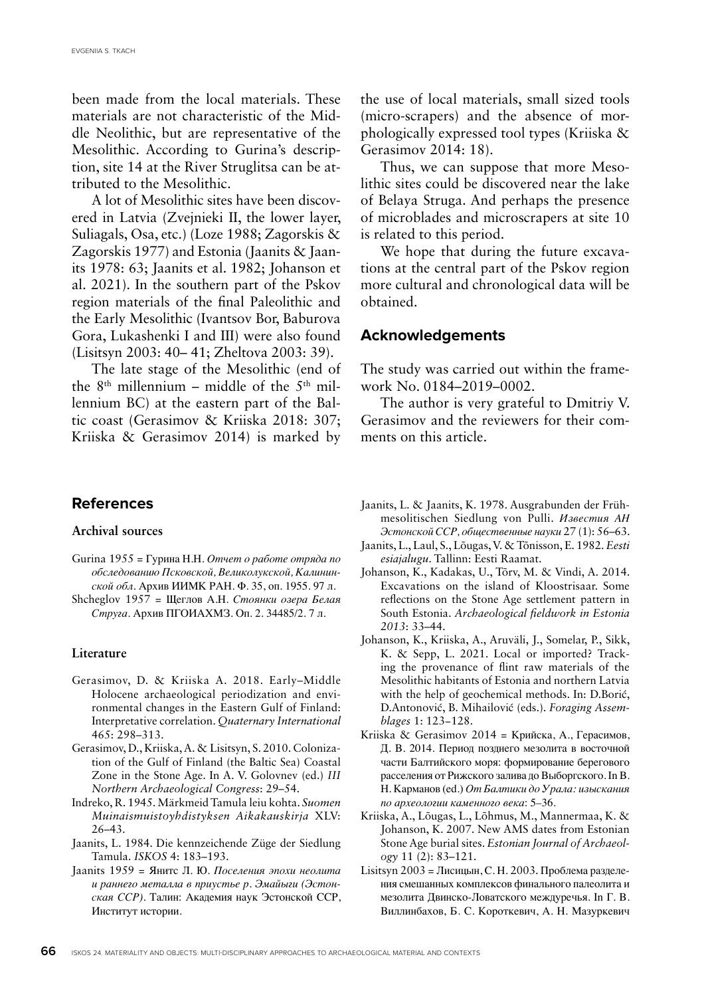been made from the local materials. These materials are not characteristic of the Middle Neolithic, but are representative of the Mesolithic. According to Gurina's description, site 14 at the River Struglitsa can be attributed to the Mesolithic.

A lot of Mesolithic sites have been discovered in Latvia (Zvejnieki II, the lower layer, Suliagals, Osa, etc.) (Loze 1988; Zagorskis & Zagorskis 1977) and Estonia (Jaanits & Jaanits 1978: 63; Jaanits et al. 1982; Johanson et al. 2021). In the southern part of the Pskov region materials of the final Paleolithic and the Early Mesolithic (Ivantsov Bor, Baburova Gora, Lukashenki I and III) were also found (Lisitsyn 2003: 40– 41; Zheltova 2003: 39).

The late stage of the Mesolithic (end of the  $8<sup>th</sup>$  millennium – middle of the  $5<sup>th</sup>$  millennium BC) at the eastern part of the Baltic coast (Gerasimov & Kriiska 2018: 307; Kriiska & Gerasimov 2014) is marked by

#### **References**

#### **Archival sources**

- Gurina 1955 = Гурина Н.Н. *Отчет о работе отряда по обследованию Псковской, Великолукской, Калининской обл*. Архив ИИМК РАН. Ф. 35, оп. 1955. 97 л.
- Shcheglov 1957 = Щеглов А.Н. *Стоянки озера Белая Струга*. Архив ПГОИАХМЗ. Оп. 2. 34485/2. 7 л.

#### **Literature**

- Gerasimov, D. & Kriiska A. 2018. Early–Middle Holocene archaeological periodization and environmental changes in the Eastern Gulf of Finland: Interpretative correlation. *Quaternary International* 465: 298–313.
- Gerasimov, D., Kriiska, A. & Lisitsyn, S. 2010. Colonization of the Gulf of Finland (the Baltic Sea) Coastal Zone in the Stone Age. In A. V. Golovnev (ed.) *III Northern Archaeological Congress*: 29–54.
- Indreko, R. 1945. Märkmeid Tamula leiu kohta. *Suomen Muinaismuistoyhdistyksen Aikakauskirja* XLV: 26–43.
- Jaanits, L. 1984. Die kennzeichende Züge der Siedlung Tamula. *ISKOS* 4: 183–193.
- Jaanits 1959 = Янитс Л. Ю. *Поселения эпохи неолита и раннего металла в приустье р. Эмайыги (Эстонская ССР).* Талин: Академия наук Эстонской ССР, Институт истории.

the use of local materials, small sized tools (micro-scrapers) and the absence of morphologically expressed tool types (Kriiska & Gerasimov 2014: 18).

Thus, we can suppose that more Mesolithic sites could be discovered near the lake of Belaya Struga. And perhaps the presence of microblades and microscrapers at site 10 is related to this period.

We hope that during the future excavations at the central part of the Pskov region more cultural and chronological data will be obtained.

#### **Acknowledgements**

The study was carried out within the framework No. 0184–2019–0002.

The author is very grateful to Dmitriy V. Gerasimov and the reviewers for their comments on this article.

- Jaanits, L. & Jaanits, K. 1978. Ausgrabunden der Frühmesolitischen Siedlung von Pulli. *Известия АН Эстонской ССР, общественные науки* 27 (1): 56–63.
- Jaanits, L., Laul, S., Lõugas, V. & Tõnisson, E. 1982. *Eesti esiajalugu*. Tallinn: Eesti Raamat.
- Johanson, K., Kadakas, U., Tõrv, M. & Vindi, A. 2014. Excavations on the island of Kloostrisaar. Some reflections on the Stone Age settlement pattern in South Estonia. *Archaeological fieldwork in Estonia 2013*: 33–44.
- Johanson, K., Kriiska, A., Aruväli, J., Somelar, P., Sikk, K. & Sepp, L. 2021. Local or imported? Tracking the provenance of flint raw materials of the Mesolithic habitants of Estonia and northern Latvia with the help of geochemical methods. In: D.Borić, D.Antonović, B. Mihailović (eds.). *Foraging Assemblages* 1: 123−128.
- Kriiska & Gerasimov 2014 = Крийска, А., Герасимов, Д. В. 2014. Период позднего мезолита в восточной части Балтийского моря: формирование берегового расселения от Рижского залива до Выборгского. In В. Н. Карманов (ed.) *От Балтики до Урала: изыскания по археологии каменного века*: 5–36.
- Kriiska, A., Lõugas, L., Lõhmus, M., Mannermaa, K. & Johanson, K. 2007. New AMS dates from Estonian Stone Age burial sites. *Estonian Journal of Archaeology* 11 (2): 83–121.
- Lisitsyn 2003 = Лисицын, С. Н. 2003. Проблема разделения смешанных комплексов финального палеолита и мезолита Двинско-Ловатского междуречья. In Г. В. Виллинбахов, Б. С. Короткевич, А. Н. Мазуркевич